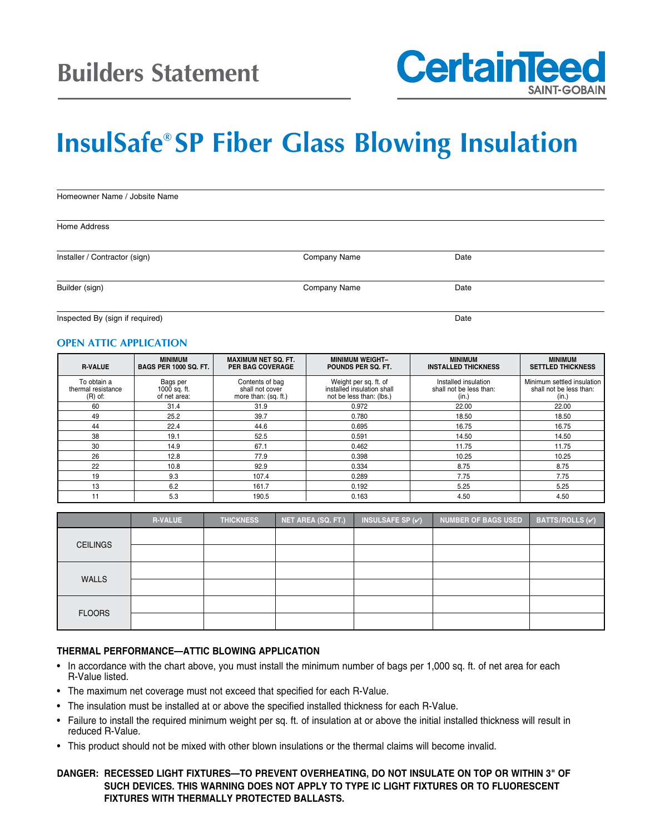

# **InsulSafe® SP Fiber Glass Blowing Insulation**

| Homeowner Name / Jobsite Name |              |      |  |  |  |
|-------------------------------|--------------|------|--|--|--|
| Home Address                  |              |      |  |  |  |
| Installer / Contractor (sign) | Company Name | Date |  |  |  |
| Builder (sign)                | Company Name | Date |  |  |  |

Inspected By (sign if required) Date and the state of the state of the state of the Date of the Date of the Date of the Date of the Date of the Date of the Date of the Date of the Date of the Date of the Date of the Date o

#### **OPEN ATTIC APPLICATION**

| <b>R-VALUE</b>                                 | <b>MINIMUM</b><br><b>BAGS PER 1000 SQ. FT.</b> | <b>MAXIMUM NET SQ. FT.</b><br><b>PER BAG COVERAGE</b>      | <b>MINIMUM WEIGHT-</b><br>POUNDS PER SQ. FT.                                    | <b>MINIMUM</b><br><b>INSTALLED THICKNESS</b>             | <b>MINIMUM</b><br><b>SETTLED THICKNESS</b>                     |
|------------------------------------------------|------------------------------------------------|------------------------------------------------------------|---------------------------------------------------------------------------------|----------------------------------------------------------|----------------------------------------------------------------|
| To obtain a<br>thermal resistance<br>$(R)$ of: | Bags per<br>1000 sq. ft.<br>of net area:       | Contents of bag<br>shall not cover<br>more than: (sq. ft.) | Weight per sq. ft. of<br>installed insulation shall<br>not be less than: (lbs.) | Installed insulation<br>shall not be less than:<br>(in.) | Minimum settled insulation<br>shall not be less than:<br>(in.) |
| 60                                             | 31.4                                           | 31.9                                                       | 0.972                                                                           | 22.00                                                    | 22.00                                                          |
| 49                                             | 25.2                                           | 39.7                                                       | 0.780                                                                           | 18.50                                                    | 18.50                                                          |
| 44                                             | 22.4                                           | 44.6                                                       | 0.695                                                                           | 16.75                                                    | 16.75                                                          |
| 38                                             | 19.1                                           | 52.5                                                       | 0.591                                                                           | 14.50                                                    | 14.50                                                          |
| 30                                             | 14.9                                           | 67.1                                                       | 0.462                                                                           | 11.75                                                    | 11.75                                                          |
| 26                                             | 12.8                                           | 77.9                                                       | 0.398                                                                           | 10.25                                                    | 10.25                                                          |
| 22                                             | 10.8                                           | 92.9                                                       | 0.334                                                                           | 8.75                                                     | 8.75                                                           |
| 19                                             | 9.3                                            | 107.4                                                      | 0.289                                                                           | 7.75                                                     | 7.75                                                           |
| 13                                             | 6.2                                            | 161.7                                                      | 0.192                                                                           | 5.25                                                     | 5.25                                                           |
| 11                                             | 5.3                                            | 190.5                                                      | 0.163                                                                           | 4.50                                                     | 4.50                                                           |

|                 | <b>R-VALUE</b> | <b>THICKNESS</b> | NET AREA (SQ. FT.) | INSULSAFE SP $(\checkmark)$ | <b>NUMBER OF BAGS USED</b> | BATTS/ROLLS $({\checkmark})$ |
|-----------------|----------------|------------------|--------------------|-----------------------------|----------------------------|------------------------------|
| <b>CEILINGS</b> |                |                  |                    |                             |                            |                              |
|                 |                |                  |                    |                             |                            |                              |
| <b>WALLS</b>    |                |                  |                    |                             |                            |                              |
|                 |                |                  |                    |                             |                            |                              |
| <b>FLOORS</b>   |                |                  |                    |                             |                            |                              |
|                 |                |                  |                    |                             |                            |                              |

#### **THERMAL PERFORMANCE—ATTIC BLOWING APPLICATION**

- In accordance with the chart above, you must install the minimum number of bags per 1,000 sq. ft. of net area for each R-Value listed.
- The maximum net coverage must not exceed that specified for each R-Value.
- The insulation must be installed at or above the specified installed thickness for each R-Value.
- Failure to install the required minimum weight per sq. ft. of insulation at or above the initial installed thickness will result in reduced R-Value.
- This product should not be mixed with other blown insulations or the thermal claims will become invalid.

#### **DANGER: RECESSED LIGHT FIXTURES—TO PREVENT OVERHEATING, DO NOT INSULATE ON TOP OR WITHIN 3" OF SUCH DEVICES. THIS WARNING DOES NOT APPLY TO TYPE IC LIGHT FIXTURES OR TO FLUORESCENT FIXTURES WITH THERMALLY PROTECTED BALLASTS.**